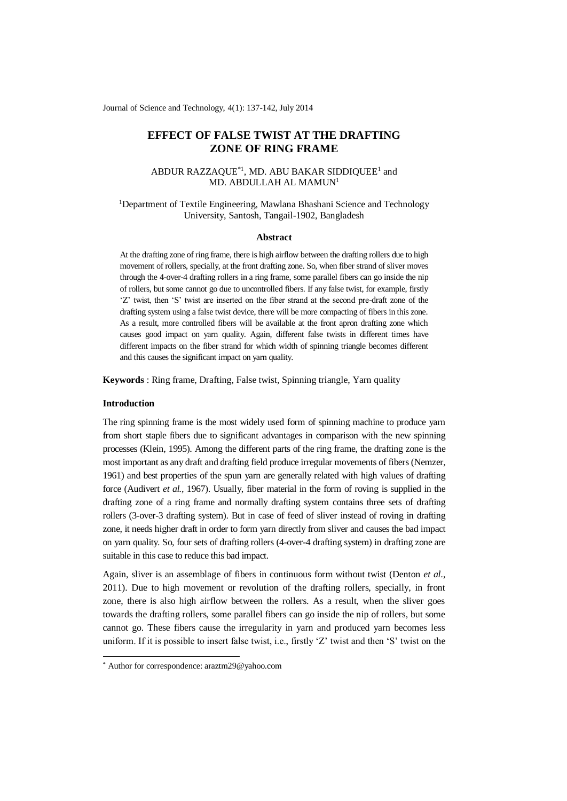Journal of Science and Technology, 4(1): 137-142, July 2014

# **EFFECT OF FALSE TWIST AT THE DRAFTING ZONE OF RING FRAME**

## ABDUR RAZZAQUE $^{*1}$ , MD. ABU BAKAR SIDDIQUEE<sup>1</sup> and MD. ABDULLAH AL MAMUN<sup>1</sup>

# <sup>1</sup>Department of Textile Engineering, Mawlana Bhashani Science and Technology University, Santosh, Tangail-1902, Bangladesh

#### **Abstract**

At the drafting zone of ring frame, there is high airflow between the drafting rollers due to high movement of rollers, specially, at the front drafting zone. So, when fiber strand of sliver moves through the 4-over-4 drafting rollers in a ring frame, some parallel fibers can go inside the nip of rollers, but some cannot go due to uncontrolled fibers. If any false twist, for example, firstly 'Z' twist, then 'S' twist are inserted on the fiber strand at the second pre-draft zone of the drafting system using a false twist device, there will be more compacting of fibers in this zone. As a result, more controlled fibers will be available at the front apron drafting zone which causes good impact on yarn quality. Again, different false twists in different times have different impacts on the fiber strand for which width of spinning triangle becomes different and this causes the significant impact on yarn quality.

**Keywords** : Ring frame, Drafting, False twist, Spinning triangle, Yarn quality

### **Introduction**

-

The ring spinning frame is the most widely used form of spinning machine to produce yarn from short staple fibers due to significant advantages in comparison with the new spinning processes (Klein, 1995). Among the different parts of the ring frame, the drafting zone is the most important as any draft and drafting field produce irregular movements of fibers (Nemzer, 1961) and best properties of the spun yarn are generally related with high values of drafting force (Audivert *et al.,* 1967). Usually, fiber material in the form of roving is supplied in the drafting zone of a ring frame and normally drafting system contains three sets of drafting rollers (3-over-3 drafting system). But in case of feed of sliver instead of roving in drafting zone, it needs higher draft in order to form yarn directly from sliver and causes the bad impact on yarn quality. So, four sets of drafting rollers (4-over-4 drafting system) in drafting zone are suitable in this case to reduce this bad impact.

Again, sliver is an assemblage of fibers in continuous form without twist (Denton *et al.*, 2011). Due to high movement or revolution of the drafting rollers, specially, in front zone, there is also high airflow between the rollers. As a result, when the sliver goes towards the drafting rollers, some parallel fibers can go inside the nip of rollers, but some cannot go. These fibers cause the irregularity in yarn and produced yarn becomes less uniform. If it is possible to insert false twist, i.e., firstly 'Z' twist and then 'S' twist on the

<sup>\*</sup> Author for correspondence: araztm29@yahoo.com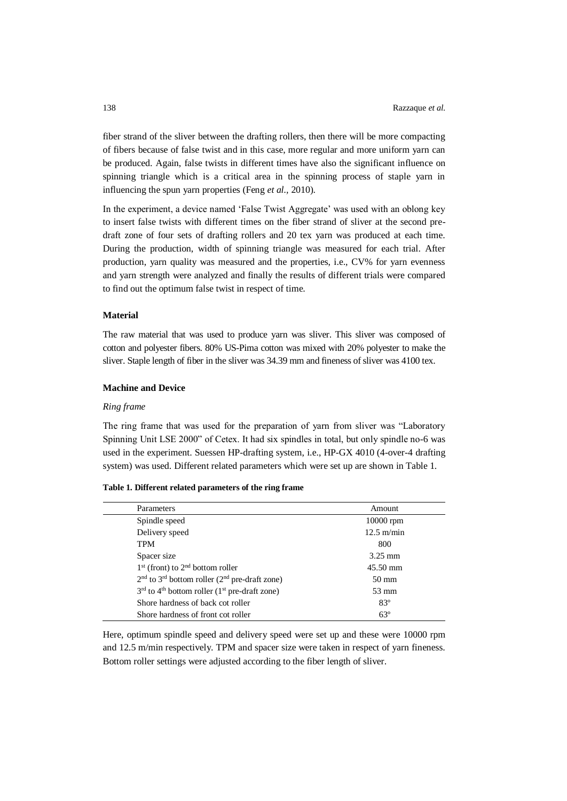fiber strand of the sliver between the drafting rollers, then there will be more compacting of fibers because of false twist and in this case, more regular and more uniform yarn can be produced. Again, false twists in different times have also the significant influence on spinning triangle which is a critical area in the spinning process of staple yarn in influencing the spun yarn properties (Feng *et al.,* 2010).

In the experiment, a device named 'False Twist Aggregate' was used with an oblong key to insert false twists with different times on the fiber strand of sliver at the second predraft zone of four sets of drafting rollers and 20 tex yarn was produced at each time. During the production, width of spinning triangle was measured for each trial. After production, yarn quality was measured and the properties, i.e., CV% for yarn evenness and yarn strength were analyzed and finally the results of different trials were compared to find out the optimum false twist in respect of time.

#### **Material**

The raw material that was used to produce yarn was sliver. This sliver was composed of cotton and polyester fibers. 80% US-Pima cotton was mixed with 20% polyester to make the sliver. Staple length of fiber in the sliver was 34.39 mm and fineness of sliver was 4100 tex.

#### **Machine and Device**

#### *Ring frame*

The ring frame that was used for the preparation of yarn from sliver was "Laboratory Spinning Unit LSE 2000" of Cetex. It had six spindles in total, but only spindle no-6 was used in the experiment. Suessen HP-drafting system, i.e., HP-GX 4010 (4-over-4 drafting system) was used. Different related parameters which were set up are shown in Table 1.

| Table 1. Different related parameters of the ring frame |  |  |  |
|---------------------------------------------------------|--|--|--|
|---------------------------------------------------------|--|--|--|

| Parameters                                                              | Amount            |
|-------------------------------------------------------------------------|-------------------|
| Spindle speed                                                           | 10000 rpm         |
| Delivery speed                                                          | $12.5$ m/min      |
| <b>TPM</b>                                                              | 800               |
| Spacer size                                                             | $3.25 \text{ mm}$ |
| $1st$ (front) to $2nd$ bottom roller                                    | 45.50 mm          |
| $2nd$ to $3rd$ bottom roller ( $2nd$ pre-draft zone)                    | $50 \text{ mm}$   |
| $3rd$ to 4 <sup>th</sup> bottom roller (1 <sup>st</sup> pre-draft zone) | $53 \text{ mm}$   |
| Shore hardness of back cot roller                                       | $83^\circ$        |
| Shore hardness of front cot roller                                      | $63^\circ$        |

Here, optimum spindle speed and delivery speed were set up and these were 10000 rpm and 12.5 m/min respectively. TPM and spacer size were taken in respect of yarn fineness. Bottom roller settings were adjusted according to the fiber length of sliver.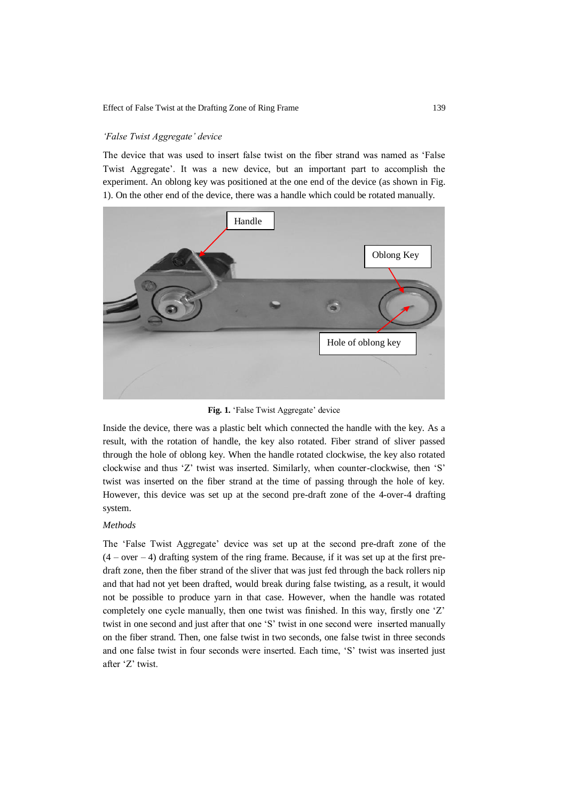#### Effect of False Twist at the Drafting Zone of Ring Frame 139

#### *'False Twist Aggregate' device*

The device that was used to insert false twist on the fiber strand was named as 'False Twist Aggregate'. It was a new device, but an important part to accomplish the experiment. An oblong key was positioned at the one end of the device (as shown in Fig. 1). On the other end of the device, there was a handle which could be rotated manually.



**Fig. 1.** 'False Twist Aggregate' device

Inside the device, there was a plastic belt which connected the handle with the key. As a result, with the rotation of handle, the key also rotated. Fiber strand of sliver passed through the hole of oblong key. When the handle rotated clockwise, the key also rotated clockwise and thus 'Z' twist was inserted. Similarly, when counter-clockwise, then 'S' twist was inserted on the fiber strand at the time of passing through the hole of key. However, this device was set up at the second pre-draft zone of the 4-over-4 drafting system.

#### *Methods*

The 'False Twist Aggregate' device was set up at the second pre-draft zone of the  $(4 - over - 4)$  drafting system of the ring frame. Because, if it was set up at the first predraft zone, then the fiber strand of the sliver that was just fed through the back rollers nip and that had not yet been drafted, would break during false twisting, as a result, it would not be possible to produce yarn in that case. However, when the handle was rotated completely one cycle manually, then one twist was finished. In this way, firstly one 'Z' twist in one second and just after that one 'S' twist in one second were inserted manually on the fiber strand. Then, one false twist in two seconds, one false twist in three seconds and one false twist in four seconds were inserted. Each time, 'S' twist was inserted just after 'Z' twist.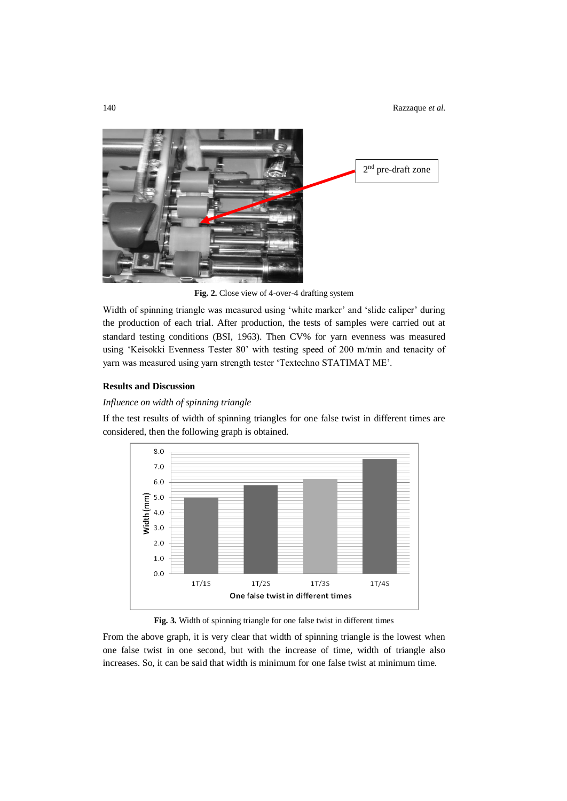

**Fig. 2.** Close view of 4-over-4 drafting system

Width of spinning triangle was measured using 'white marker' and 'slide caliper' during the production of each trial. After production, the tests of samples were carried out at standard testing conditions (BSI, 1963). Then CV% for yarn evenness was measured using 'Keisokki Evenness Tester 80' with testing speed of 200 m/min and tenacity of yarn was measured using yarn strength tester 'Textechno STATIMAT ME'.

### **Results and Discussion**

## *Influence on width of spinning triangle*

If the test results of width of spinning triangles for one false twist in different times are considered, then the following graph is obtained.



**Fig. 3.** Width of spinning triangle for one false twist in different times

From the above graph, it is very clear that width of spinning triangle is the lowest when one false twist in one second, but with the increase of time, width of triangle also increases. So, it can be said that width is minimum for one false twist at minimum time.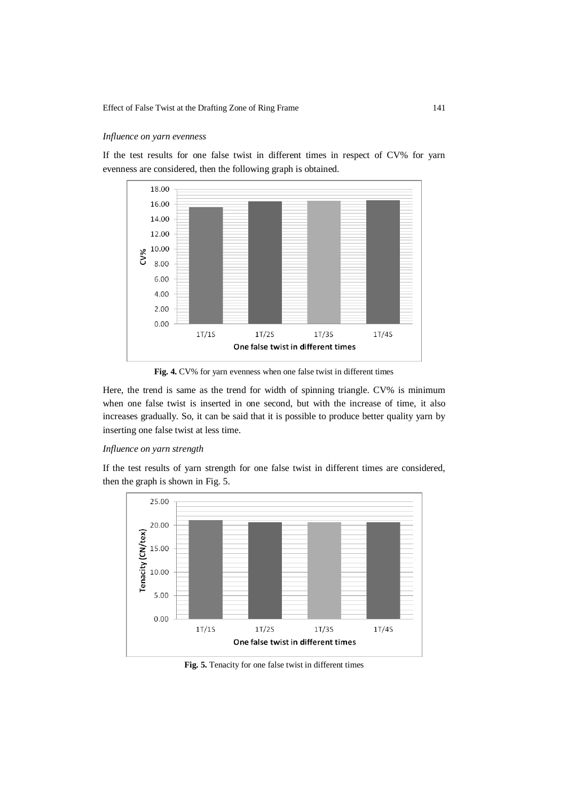# *Influence on yarn evenness*

If the test results for one false twist in different times in respect of CV% for yarn evenness are considered, then the following graph is obtained.



**Fig. 4.** CV% for yarn evenness when one false twist in different times

Here, the trend is same as the trend for width of spinning triangle. CV% is minimum when one false twist is inserted in one second, but with the increase of time, it also increases gradually. So, it can be said that it is possible to produce better quality yarn by inserting one false twist at less time.

# *Influence on yarn strength*

If the test results of yarn strength for one false twist in different times are considered, then the graph is shown in Fig. 5.



**Fig. 5.** Tenacity for one false twist in different times